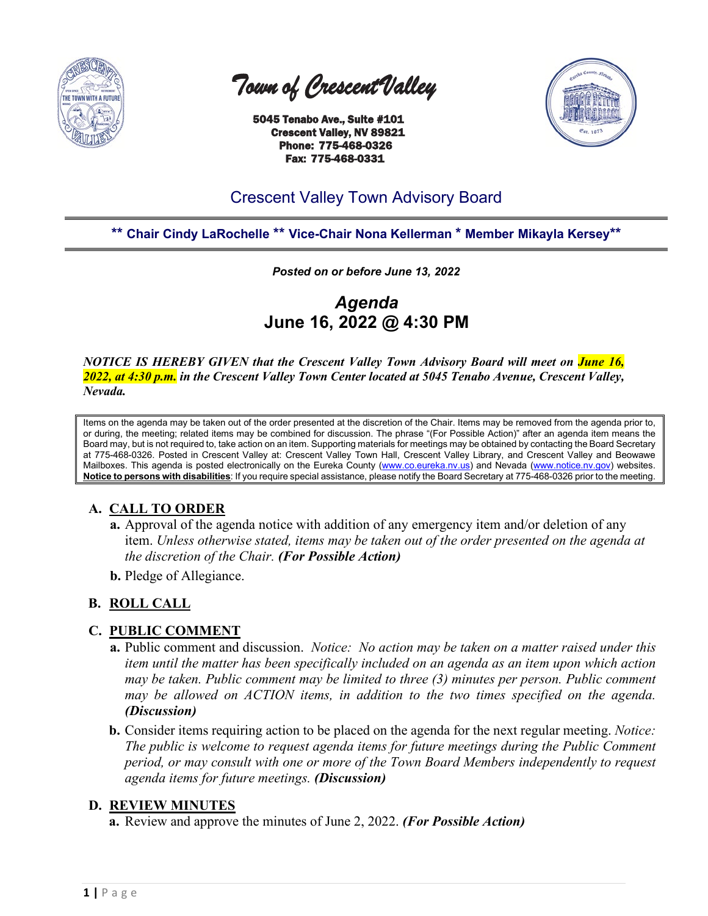

 *Town of Crescent Valley* 

 5045 Tenabo Ave., Suite #101 Crescent Valley, NV 89821 Phone: 775-468-0326 Fax: 775-468-0331



# Crescent Valley Town Advisory Board

**\*\* Chair Cindy LaRochelle \*\* Vice-Chair Nona Kellerman \* Member Mikayla Kersey\*\***

*Posted on or before June 13, 2022*

*Agenda* **June 16, 2022 @ 4:30 PM**

*NOTICE IS HEREBY GIVEN that the Crescent Valley Town Advisory Board will meet on June 16, 2022, at 4:30 p.m. in the Crescent Valley Town Center located at 5045 Tenabo Avenue, Crescent Valley, Nevada.* 

Items on the agenda may be taken out of the order presented at the discretion of the Chair. Items may be removed from the agenda prior to, or during, the meeting; related items may be combined for discussion. The phrase "(For Possible Action)" after an agenda item means the Board may, but is not required to, take action on an item. Supporting materials for meetings may be obtained by contacting the Board Secretary at 775-468-0326. Posted in Crescent Valley at: Crescent Valley Town Hall, Crescent Valley Library, and Crescent Valley and Beowawe Mailboxes. This agenda is posted electronically on the Eureka County [\(www.co.eureka.nv.us\)](http://www.co.eureka.nv.us/) and Nevada [\(www.notice.nv.gov\)](http://www.notice.nv.gov/) websites. **Notice to persons with disabilities**: If you require special assistance, please notify the Board Secretary at 775-468-0326 prior to the meeting.

# **A. CALL TO ORDER**

- **a.** Approval of the agenda notice with addition of any emergency item and/or deletion of any item. *Unless otherwise stated, items may be taken out of the order presented on the agenda at the discretion of the Chair. (For Possible Action)*
- **b.** Pledge of Allegiance.

# **B. ROLL CALL**

# **C. PUBLIC COMMENT**

- **a.** Public comment and discussion. *Notice: No action may be taken on a matter raised under this item until the matter has been specifically included on an agenda as an item upon which action may be taken. Public comment may be limited to three (3) minutes per person. Public comment may be allowed on ACTION items, in addition to the two times specified on the agenda. (Discussion)*
- **b.** Consider items requiring action to be placed on the agenda for the next regular meeting. *Notice: The public is welcome to request agenda items for future meetings during the Public Comment period, or may consult with one or more of the Town Board Members independently to request agenda items for future meetings. (Discussion)*

# **D. REVIEW MINUTES**

**a.** Review and approve the minutes of June 2, 2022. *(For Possible Action)*